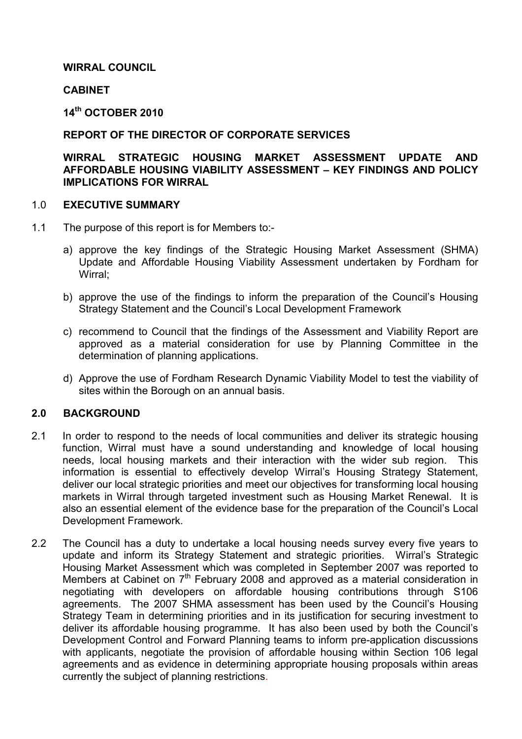## WIRRAL COUNCIL

### **CABINET**

14th OCTOBER 2010

### REPORT OF THE DIRECTOR OF CORPORATE SERVICES

### WIRRAL STRATEGIC HOUSING MARKET ASSESSMENT UPDATE AND AFFORDABLE HOUSING VIABILITY ASSESSMENT – KEY FINDINGS AND POLICY IMPLICATIONS FOR WIRRAL

#### 1.0 EXECUTIVE SUMMARY

- 1.1 The purpose of this report is for Members to:
	- a) approve the key findings of the Strategic Housing Market Assessment (SHMA) Update and Affordable Housing Viability Assessment undertaken by Fordham for Wirral;
	- b) approve the use of the findings to inform the preparation of the Council's Housing Strategy Statement and the Council's Local Development Framework
	- c) recommend to Council that the findings of the Assessment and Viability Report are approved as a material consideration for use by Planning Committee in the determination of planning applications.
	- d) Approve the use of Fordham Research Dynamic Viability Model to test the viability of sites within the Borough on an annual basis.

## 2.0 BACKGROUND

- 2.1 In order to respond to the needs of local communities and deliver its strategic housing function, Wirral must have a sound understanding and knowledge of local housing needs, local housing markets and their interaction with the wider sub region. This information is essential to effectively develop Wirral's Housing Strategy Statement, deliver our local strategic priorities and meet our objectives for transforming local housing markets in Wirral through targeted investment such as Housing Market Renewal. It is also an essential element of the evidence base for the preparation of the Council's Local Development Framework.
- 2.2 The Council has a duty to undertake a local housing needs survey every five years to update and inform its Strategy Statement and strategic priorities. Wirral's Strategic Housing Market Assessment which was completed in September 2007 was reported to Members at Cabinet on  $7<sup>th</sup>$  February 2008 and approved as a material consideration in negotiating with developers on affordable housing contributions through S106 agreements. The 2007 SHMA assessment has been used by the Council's Housing Strategy Team in determining priorities and in its justification for securing investment to deliver its affordable housing programme. It has also been used by both the Council's Development Control and Forward Planning teams to inform pre-application discussions with applicants, negotiate the provision of affordable housing within Section 106 legal agreements and as evidence in determining appropriate housing proposals within areas currently the subject of planning restrictions.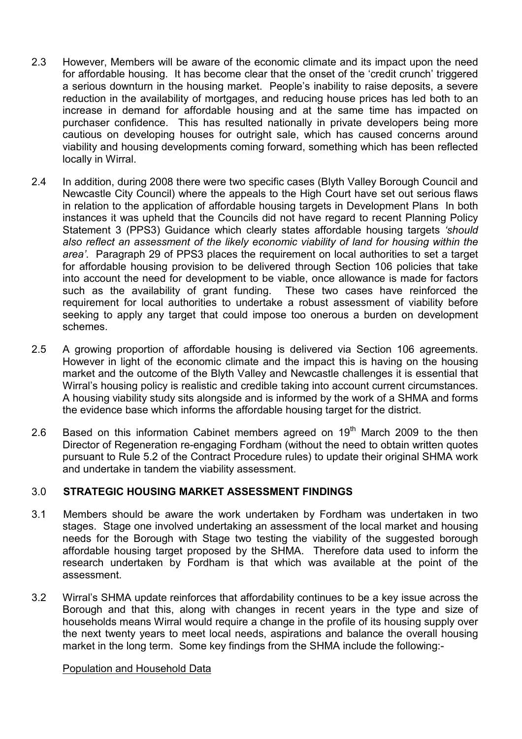- 2.3 However, Members will be aware of the economic climate and its impact upon the need for affordable housing. It has become clear that the onset of the 'credit crunch' triggered a serious downturn in the housing market. People's inability to raise deposits, a severe reduction in the availability of mortgages, and reducing house prices has led both to an increase in demand for affordable housing and at the same time has impacted on purchaser confidence. This has resulted nationally in private developers being more cautious on developing houses for outright sale, which has caused concerns around viability and housing developments coming forward, something which has been reflected locally in Wirral.
- 2.4 In addition, during 2008 there were two specific cases (Blyth Valley Borough Council and Newcastle City Council) where the appeals to the High Court have set out serious flaws in relation to the application of affordable housing targets in Development Plans In both instances it was upheld that the Councils did not have regard to recent Planning Policy Statement 3 (PPS3) Guidance which clearly states affordable housing targets 'should also reflect an assessment of the likely economic viability of land for housing within the area'. Paragraph 29 of PPS3 places the requirement on local authorities to set a target for affordable housing provision to be delivered through Section 106 policies that take into account the need for development to be viable, once allowance is made for factors such as the availability of grant funding. These two cases have reinforced the requirement for local authorities to undertake a robust assessment of viability before seeking to apply any target that could impose too onerous a burden on development schemes.
- 2.5 A growing proportion of affordable housing is delivered via Section 106 agreements. However in light of the economic climate and the impact this is having on the housing market and the outcome of the Blyth Valley and Newcastle challenges it is essential that Wirral's housing policy is realistic and credible taking into account current circumstances. A housing viability study sits alongside and is informed by the work of a SHMA and forms the evidence base which informs the affordable housing target for the district.
- 2.6 Based on this information Cabinet members agreed on  $19<sup>th</sup>$  March 2009 to the then Director of Regeneration re-engaging Fordham (without the need to obtain written quotes pursuant to Rule 5.2 of the Contract Procedure rules) to update their original SHMA work and undertake in tandem the viability assessment.

## 3.0 STRATEGIC HOUSING MARKET ASSESSMENT FINDINGS

- 3.1 Members should be aware the work undertaken by Fordham was undertaken in two stages. Stage one involved undertaking an assessment of the local market and housing needs for the Borough with Stage two testing the viability of the suggested borough affordable housing target proposed by the SHMA. Therefore data used to inform the research undertaken by Fordham is that which was available at the point of the assessment.
- 3.2 Wirral's SHMA update reinforces that affordability continues to be a key issue across the Borough and that this, along with changes in recent years in the type and size of households means Wirral would require a change in the profile of its housing supply over the next twenty years to meet local needs, aspirations and balance the overall housing market in the long term. Some key findings from the SHMA include the following:-

#### Population and Household Data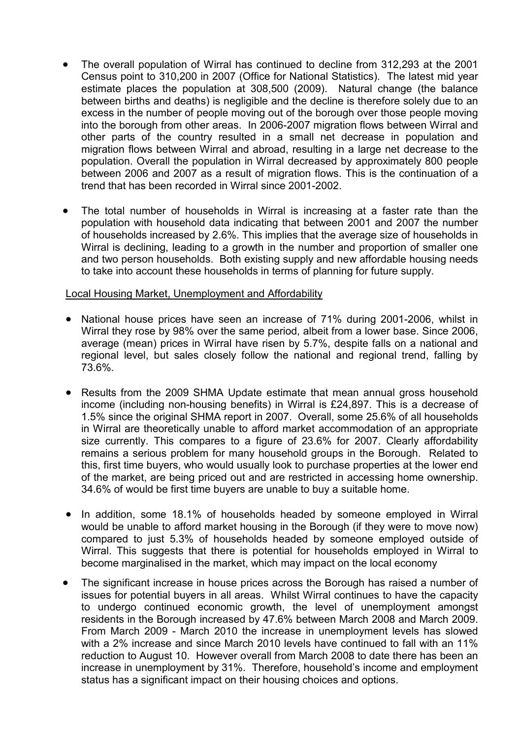- The overall population of Wirral has continued to decline from 312,293 at the 2001 Census point to 310,200 in 2007 (Office for National Statistics). The latest mid year estimate places the population at 308,500 (2009). Natural change (the balance between births and deaths) is negligible and the decline is therefore solely due to an excess in the number of people moving out of the borough over those people moving into the borough from other areas. In 2006-2007 migration flows between Wirral and other parts of the country resulted in a small net decrease in population and migration flows between Wirral and abroad, resulting in a large net decrease to the population. Overall the population in Wirral decreased by approximately 800 people between 2006 and 2007 as a result of migration flows. This is the continuation of a trend that has been recorded in Wirral since 2001-2002.
- The total number of households in Wirral is increasing at a faster rate than the population with household data indicating that between 2001 and 2007 the number of households increased by 2.6%. This implies that the average size of households in Wirral is declining, leading to a growth in the number and proportion of smaller one and two person households. Both existing supply and new affordable housing needs to take into account these households in terms of planning for future supply.

### Local Housing Market, Unemployment and Affordability

- National house prices have seen an increase of 71% during 2001-2006, whilst in Wirral they rose by 98% over the same period, albeit from a lower base. Since 2006, average (mean) prices in Wirral have risen by 5.7%, despite falls on a national and regional level, but sales closely follow the national and regional trend, falling by 73.6%.
- Results from the 2009 SHMA Update estimate that mean annual gross household income (including non-housing benefits) in Wirral is £24,897. This is a decrease of 1.5% since the original SHMA report in 2007. Overall, some 25.6% of all households in Wirral are theoretically unable to afford market accommodation of an appropriate size currently. This compares to a figure of 23.6% for 2007. Clearly affordability remains a serious problem for many household groups in the Borough. Related to this, first time buyers, who would usually look to purchase properties at the lower end of the market, are being priced out and are restricted in accessing home ownership. 34.6% of would be first time buyers are unable to buy a suitable home.
- In addition, some 18.1% of households headed by someone employed in Wirral would be unable to afford market housing in the Borough (if they were to move now) compared to just 5.3% of households headed by someone employed outside of Wirral. This suggests that there is potential for households employed in Wirral to become marginalised in the market, which may impact on the local economy
- The significant increase in house prices across the Borough has raised a number of issues for potential buyers in all areas. Whilst Wirral continues to have the capacity to undergo continued economic growth, the level of unemployment amongst residents in the Borough increased by 47.6% between March 2008 and March 2009. From March 2009 - March 2010 the increase in unemployment levels has slowed with a 2% increase and since March 2010 levels have continued to fall with an 11% reduction to August 10. However overall from March 2008 to date there has been an increase in unemployment by 31%. Therefore, household's income and employment status has a significant impact on their housing choices and options.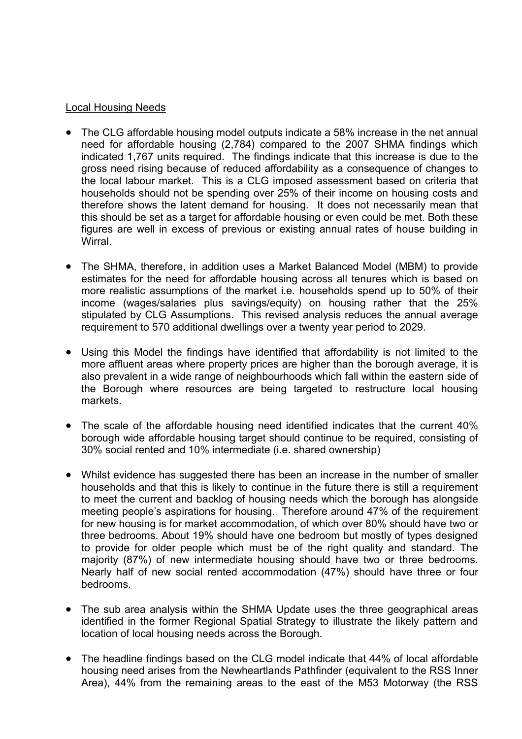## Local Housing Needs

- The CLG affordable housing model outputs indicate a 58% increase in the net annual need for affordable housing (2,784) compared to the 2007 SHMA findings which indicated 1,767 units required. The findings indicate that this increase is due to the gross need rising because of reduced affordability as a consequence of changes to the local labour market. This is a CLG imposed assessment based on criteria that households should not be spending over 25% of their income on housing costs and therefore shows the latent demand for housing. It does not necessarily mean that this should be set as a target for affordable housing or even could be met. Both these figures are well in excess of previous or existing annual rates of house building in Wirral.
- The SHMA, therefore, in addition uses a Market Balanced Model (MBM) to provide estimates for the need for affordable housing across all tenures which is based on more realistic assumptions of the market i.e. households spend up to 50% of their income (wages/salaries plus savings/equity) on housing rather that the 25% stipulated by CLG Assumptions. This revised analysis reduces the annual average requirement to 570 additional dwellings over a twenty year period to 2029.
- Using this Model the findings have identified that affordability is not limited to the more affluent areas where property prices are higher than the borough average, it is also prevalent in a wide range of neighbourhoods which fall within the eastern side of the Borough where resources are being targeted to restructure local housing markets.
- The scale of the affordable housing need identified indicates that the current 40% borough wide affordable housing target should continue to be required, consisting of 30% social rented and 10% intermediate (i.e. shared ownership)
- Whilst evidence has suggested there has been an increase in the number of smaller households and that this is likely to continue in the future there is still a requirement to meet the current and backlog of housing needs which the borough has alongside meeting people's aspirations for housing. Therefore around 47% of the requirement for new housing is for market accommodation, of which over 80% should have two or three bedrooms. About 19% should have one bedroom but mostly of types designed to provide for older people which must be of the right quality and standard. The majority (87%) of new intermediate housing should have two or three bedrooms. Nearly half of new social rented accommodation (47%) should have three or four bedrooms.
- The sub area analysis within the SHMA Update uses the three geographical areas identified in the former Regional Spatial Strategy to illustrate the likely pattern and location of local housing needs across the Borough.
- The headline findings based on the CLG model indicate that 44% of local affordable housing need arises from the Newheartlands Pathfinder (equivalent to the RSS Inner Area), 44% from the remaining areas to the east of the M53 Motorway (the RSS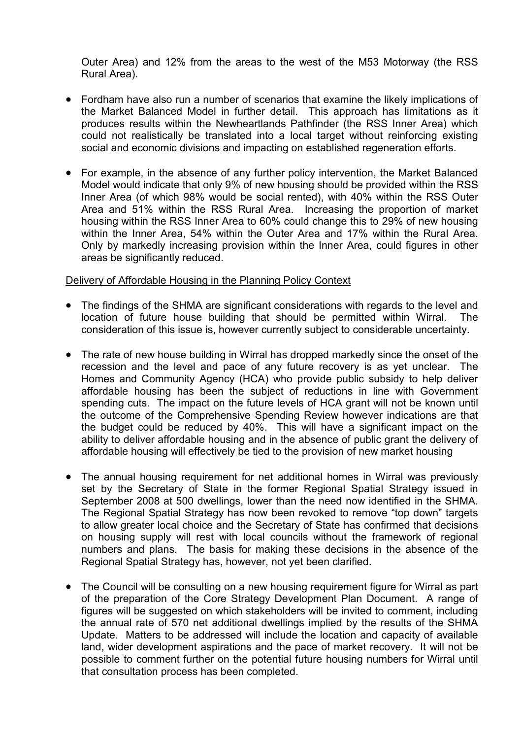Outer Area) and 12% from the areas to the west of the M53 Motorway (the RSS Rural Area).

- Fordham have also run a number of scenarios that examine the likely implications of the Market Balanced Model in further detail. This approach has limitations as it produces results within the Newheartlands Pathfinder (the RSS Inner Area) which could not realistically be translated into a local target without reinforcing existing social and economic divisions and impacting on established regeneration efforts.
- For example, in the absence of any further policy intervention, the Market Balanced Model would indicate that only 9% of new housing should be provided within the RSS Inner Area (of which 98% would be social rented), with 40% within the RSS Outer Area and 51% within the RSS Rural Area. Increasing the proportion of market housing within the RSS Inner Area to 60% could change this to 29% of new housing within the Inner Area, 54% within the Outer Area and 17% within the Rural Area. Only by markedly increasing provision within the Inner Area, could figures in other areas be significantly reduced.

## Delivery of Affordable Housing in the Planning Policy Context

- The findings of the SHMA are significant considerations with regards to the level and location of future house building that should be permitted within Wirral. The consideration of this issue is, however currently subject to considerable uncertainty.
- The rate of new house building in Wirral has dropped markedly since the onset of the recession and the level and pace of any future recovery is as yet unclear. The Homes and Community Agency (HCA) who provide public subsidy to help deliver affordable housing has been the subject of reductions in line with Government spending cuts. The impact on the future levels of HCA grant will not be known until the outcome of the Comprehensive Spending Review however indications are that the budget could be reduced by 40%. This will have a significant impact on the ability to deliver affordable housing and in the absence of public grant the delivery of affordable housing will effectively be tied to the provision of new market housing
- The annual housing requirement for net additional homes in Wirral was previously set by the Secretary of State in the former Regional Spatial Strategy issued in September 2008 at 500 dwellings, lower than the need now identified in the SHMA. The Regional Spatial Strategy has now been revoked to remove "top down" targets to allow greater local choice and the Secretary of State has confirmed that decisions on housing supply will rest with local councils without the framework of regional numbers and plans. The basis for making these decisions in the absence of the Regional Spatial Strategy has, however, not yet been clarified.
- The Council will be consulting on a new housing requirement figure for Wirral as part of the preparation of the Core Strategy Development Plan Document. A range of figures will be suggested on which stakeholders will be invited to comment, including the annual rate of 570 net additional dwellings implied by the results of the SHMA Update. Matters to be addressed will include the location and capacity of available land, wider development aspirations and the pace of market recovery. It will not be possible to comment further on the potential future housing numbers for Wirral until that consultation process has been completed.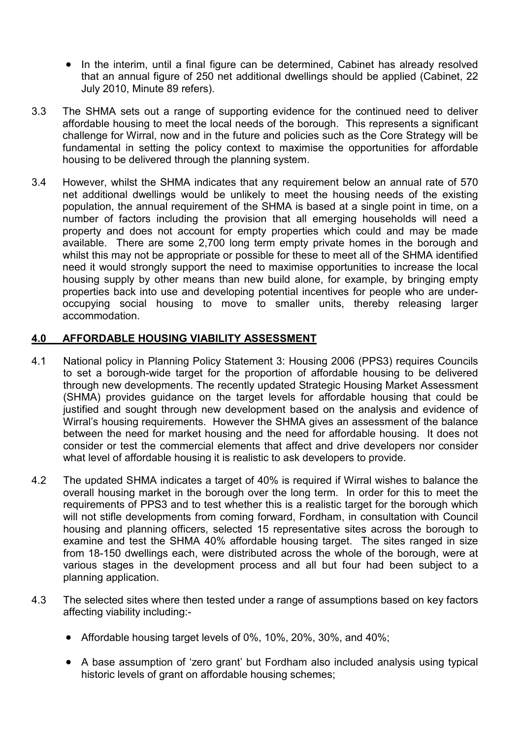- In the interim, until a final figure can be determined, Cabinet has already resolved that an annual figure of 250 net additional dwellings should be applied (Cabinet, 22 July 2010, Minute 89 refers).
- 3.3 The SHMA sets out a range of supporting evidence for the continued need to deliver affordable housing to meet the local needs of the borough. This represents a significant challenge for Wirral, now and in the future and policies such as the Core Strategy will be fundamental in setting the policy context to maximise the opportunities for affordable housing to be delivered through the planning system.
- 3.4 However, whilst the SHMA indicates that any requirement below an annual rate of 570 net additional dwellings would be unlikely to meet the housing needs of the existing population, the annual requirement of the SHMA is based at a single point in time, on a number of factors including the provision that all emerging households will need a property and does not account for empty properties which could and may be made available. There are some 2,700 long term empty private homes in the borough and whilst this may not be appropriate or possible for these to meet all of the SHMA identified need it would strongly support the need to maximise opportunities to increase the local housing supply by other means than new build alone, for example, by bringing empty properties back into use and developing potential incentives for people who are underoccupying social housing to move to smaller units, thereby releasing larger accommodation.

# 4.0 AFFORDABLE HOUSING VIABILITY ASSESSMENT

- 4.1 National policy in Planning Policy Statement 3: Housing 2006 (PPS3) requires Councils to set a borough-wide target for the proportion of affordable housing to be delivered through new developments. The recently updated Strategic Housing Market Assessment (SHMA) provides guidance on the target levels for affordable housing that could be justified and sought through new development based on the analysis and evidence of Wirral's housing requirements. However the SHMA gives an assessment of the balance between the need for market housing and the need for affordable housing. It does not consider or test the commercial elements that affect and drive developers nor consider what level of affordable housing it is realistic to ask developers to provide.
- 4.2 The updated SHMA indicates a target of 40% is required if Wirral wishes to balance the overall housing market in the borough over the long term. In order for this to meet the requirements of PPS3 and to test whether this is a realistic target for the borough which will not stifle developments from coming forward, Fordham, in consultation with Council housing and planning officers, selected 15 representative sites across the borough to examine and test the SHMA 40% affordable housing target. The sites ranged in size from 18-150 dwellings each, were distributed across the whole of the borough, were at various stages in the development process and all but four had been subject to a planning application.
- 4.3 The selected sites where then tested under a range of assumptions based on key factors affecting viability including:-
	- Affordable housing target levels of 0%, 10%, 20%, 30%, and 40%;
	- A base assumption of 'zero grant' but Fordham also included analysis using typical historic levels of grant on affordable housing schemes;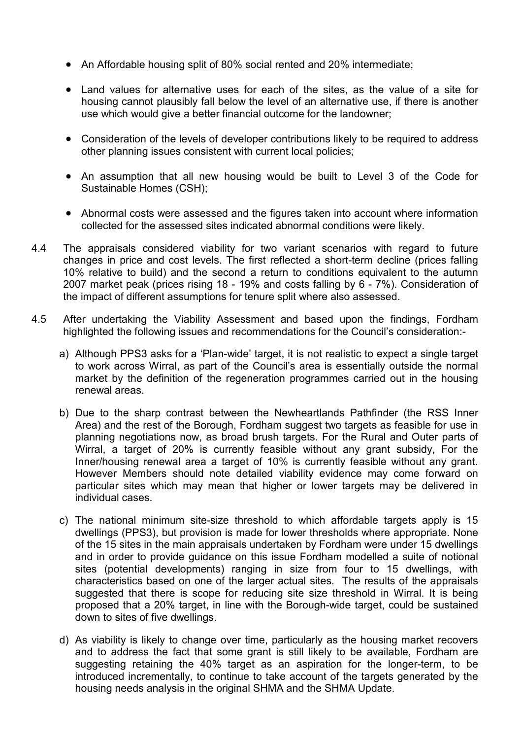- An Affordable housing split of 80% social rented and 20% intermediate;
- Land values for alternative uses for each of the sites, as the value of a site for housing cannot plausibly fall below the level of an alternative use, if there is another use which would give a better financial outcome for the landowner;
- Consideration of the levels of developer contributions likely to be required to address other planning issues consistent with current local policies;
- An assumption that all new housing would be built to Level 3 of the Code for Sustainable Homes (CSH);
- Abnormal costs were assessed and the figures taken into account where information collected for the assessed sites indicated abnormal conditions were likely.
- 4.4 The appraisals considered viability for two variant scenarios with regard to future changes in price and cost levels. The first reflected a short-term decline (prices falling 10% relative to build) and the second a return to conditions equivalent to the autumn 2007 market peak (prices rising 18 - 19% and costs falling by 6 - 7%). Consideration of the impact of different assumptions for tenure split where also assessed.
- 4.5 After undertaking the Viability Assessment and based upon the findings, Fordham highlighted the following issues and recommendations for the Council's consideration:
	- a) Although PPS3 asks for a 'Plan-wide' target, it is not realistic to expect a single target to work across Wirral, as part of the Council's area is essentially outside the normal market by the definition of the regeneration programmes carried out in the housing renewal areas.
	- b) Due to the sharp contrast between the Newheartlands Pathfinder (the RSS Inner Area) and the rest of the Borough, Fordham suggest two targets as feasible for use in planning negotiations now, as broad brush targets. For the Rural and Outer parts of Wirral, a target of 20% is currently feasible without any grant subsidy, For the Inner/housing renewal area a target of 10% is currently feasible without any grant. However Members should note detailed viability evidence may come forward on particular sites which may mean that higher or lower targets may be delivered in individual cases.
	- c) The national minimum site-size threshold to which affordable targets apply is 15 dwellings (PPS3), but provision is made for lower thresholds where appropriate. None of the 15 sites in the main appraisals undertaken by Fordham were under 15 dwellings and in order to provide guidance on this issue Fordham modelled a suite of notional sites (potential developments) ranging in size from four to 15 dwellings, with characteristics based on one of the larger actual sites. The results of the appraisals suggested that there is scope for reducing site size threshold in Wirral. It is being proposed that a 20% target, in line with the Borough-wide target, could be sustained down to sites of five dwellings.
	- d) As viability is likely to change over time, particularly as the housing market recovers and to address the fact that some grant is still likely to be available, Fordham are suggesting retaining the 40% target as an aspiration for the longer-term, to be introduced incrementally, to continue to take account of the targets generated by the housing needs analysis in the original SHMA and the SHMA Update.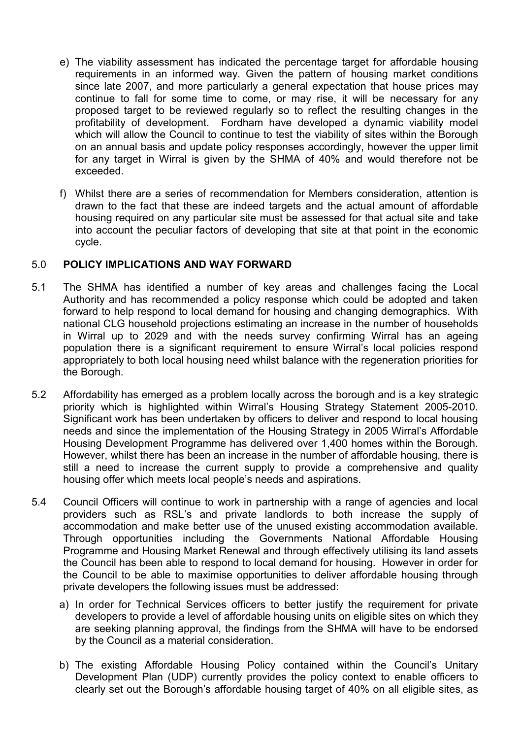- e) The viability assessment has indicated the percentage target for affordable housing requirements in an informed way. Given the pattern of housing market conditions since late 2007, and more particularly a general expectation that house prices may continue to fall for some time to come, or may rise, it will be necessary for any proposed target to be reviewed regularly so to reflect the resulting changes in the profitability of development. Fordham have developed a dynamic viability model which will allow the Council to continue to test the viability of sites within the Borough on an annual basis and update policy responses accordingly, however the upper limit for any target in Wirral is given by the SHMA of 40% and would therefore not be exceeded.
- f) Whilst there are a series of recommendation for Members consideration, attention is drawn to the fact that these are indeed targets and the actual amount of affordable housing required on any particular site must be assessed for that actual site and take into account the peculiar factors of developing that site at that point in the economic cycle.

## 5.0 POLICY IMPLICATIONS AND WAY FORWARD

- 5.1 The SHMA has identified a number of key areas and challenges facing the Local Authority and has recommended a policy response which could be adopted and taken forward to help respond to local demand for housing and changing demographics. With national CLG household projections estimating an increase in the number of households in Wirral up to 2029 and with the needs survey confirming Wirral has an ageing population there is a significant requirement to ensure Wirral's local policies respond appropriately to both local housing need whilst balance with the regeneration priorities for the Borough.
- 5.2 Affordability has emerged as a problem locally across the borough and is a key strategic priority which is highlighted within Wirral's Housing Strategy Statement 2005-2010. Significant work has been undertaken by officers to deliver and respond to local housing needs and since the implementation of the Housing Strategy in 2005 Wirral's Affordable Housing Development Programme has delivered over 1,400 homes within the Borough. However, whilst there has been an increase in the number of affordable housing, there is still a need to increase the current supply to provide a comprehensive and quality housing offer which meets local people's needs and aspirations.
- 5.4 Council Officers will continue to work in partnership with a range of agencies and local providers such as RSL's and private landlords to both increase the supply of accommodation and make better use of the unused existing accommodation available. Through opportunities including the Governments National Affordable Housing Programme and Housing Market Renewal and through effectively utilising its land assets the Council has been able to respond to local demand for housing. However in order for the Council to be able to maximise opportunities to deliver affordable housing through private developers the following issues must be addressed:
	- a) In order for Technical Services officers to better justify the requirement for private developers to provide a level of affordable housing units on eligible sites on which they are seeking planning approval, the findings from the SHMA will have to be endorsed by the Council as a material consideration.
	- b) The existing Affordable Housing Policy contained within the Council's Unitary Development Plan (UDP) currently provides the policy context to enable officers to clearly set out the Borough's affordable housing target of 40% on all eligible sites, as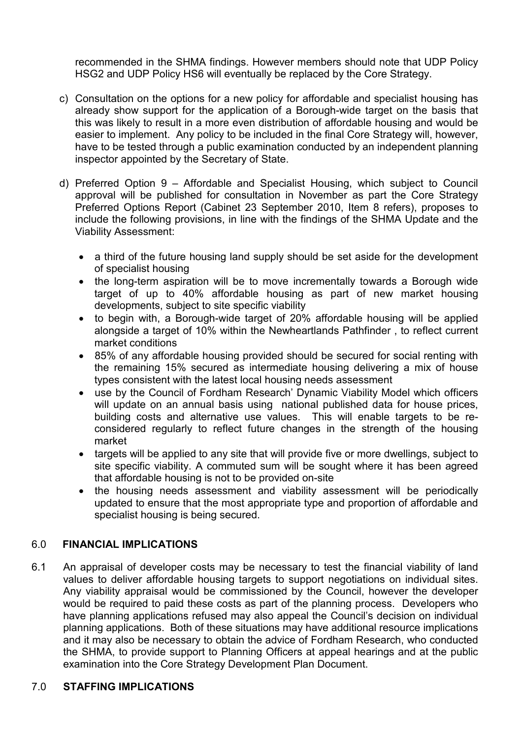recommended in the SHMA findings. However members should note that UDP Policy HSG2 and UDP Policy HS6 will eventually be replaced by the Core Strategy.

- c) Consultation on the options for a new policy for affordable and specialist housing has already show support for the application of a Borough-wide target on the basis that this was likely to result in a more even distribution of affordable housing and would be easier to implement. Any policy to be included in the final Core Strategy will, however, have to be tested through a public examination conducted by an independent planning inspector appointed by the Secretary of State.
- d) Preferred Option 9 Affordable and Specialist Housing, which subject to Council approval will be published for consultation in November as part the Core Strategy Preferred Options Report (Cabinet 23 September 2010, Item 8 refers), proposes to include the following provisions, in line with the findings of the SHMA Update and the Viability Assessment:
	- a third of the future housing land supply should be set aside for the development of specialist housing
	- the long-term aspiration will be to move incrementally towards a Borough wide target of up to 40% affordable housing as part of new market housing developments, subject to site specific viability
	- to begin with, a Borough-wide target of 20% affordable housing will be applied alongside a target of 10% within the Newheartlands Pathfinder , to reflect current market conditions
	- 85% of any affordable housing provided should be secured for social renting with the remaining 15% secured as intermediate housing delivering a mix of house types consistent with the latest local housing needs assessment
	- use by the Council of Fordham Research' Dynamic Viability Model which officers will update on an annual basis using national published data for house prices, building costs and alternative use values. This will enable targets to be reconsidered regularly to reflect future changes in the strength of the housing market
	- targets will be applied to any site that will provide five or more dwellings, subject to site specific viability. A commuted sum will be sought where it has been agreed that affordable housing is not to be provided on-site
	- the housing needs assessment and viability assessment will be periodically updated to ensure that the most appropriate type and proportion of affordable and specialist housing is being secured.

# 6.0 FINANCIAL IMPLICATIONS

6.1 An appraisal of developer costs may be necessary to test the financial viability of land values to deliver affordable housing targets to support negotiations on individual sites. Any viability appraisal would be commissioned by the Council, however the developer would be required to paid these costs as part of the planning process. Developers who have planning applications refused may also appeal the Council's decision on individual planning applications. Both of these situations may have additional resource implications and it may also be necessary to obtain the advice of Fordham Research, who conducted the SHMA, to provide support to Planning Officers at appeal hearings and at the public examination into the Core Strategy Development Plan Document.

## 7.0 STAFFING IMPLICATIONS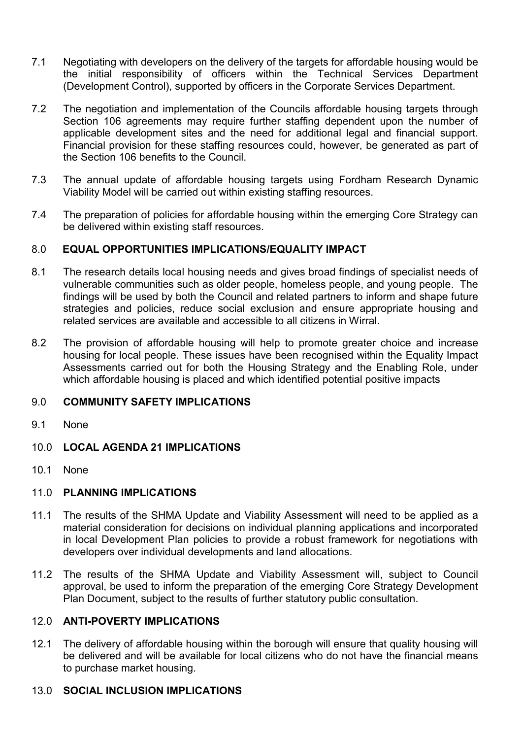- 7.1 Negotiating with developers on the delivery of the targets for affordable housing would be the initial responsibility of officers within the Technical Services Department (Development Control), supported by officers in the Corporate Services Department.
- 7.2 The negotiation and implementation of the Councils affordable housing targets through Section 106 agreements may require further staffing dependent upon the number of applicable development sites and the need for additional legal and financial support. Financial provision for these staffing resources could, however, be generated as part of the Section 106 benefits to the Council.
- 7.3 The annual update of affordable housing targets using Fordham Research Dynamic Viability Model will be carried out within existing staffing resources.
- 7.4 The preparation of policies for affordable housing within the emerging Core Strategy can be delivered within existing staff resources.

## 8.0 EQUAL OPPORTUNITIES IMPLICATIONS/EQUALITY IMPACT

- 8.1 The research details local housing needs and gives broad findings of specialist needs of vulnerable communities such as older people, homeless people, and young people. The findings will be used by both the Council and related partners to inform and shape future strategies and policies, reduce social exclusion and ensure appropriate housing and related services are available and accessible to all citizens in Wirral.
- 8.2 The provision of affordable housing will help to promote greater choice and increase housing for local people. These issues have been recognised within the Equality Impact Assessments carried out for both the Housing Strategy and the Enabling Role, under which affordable housing is placed and which identified potential positive impacts

## 9.0 COMMUNITY SAFETY IMPLICATIONS

- 9.1 None
- 10.0 LOCAL AGENDA 21 IMPLICATIONS
- 10.1 None

# 11.0 PLANNING IMPLICATIONS

- 11.1 The results of the SHMA Update and Viability Assessment will need to be applied as a material consideration for decisions on individual planning applications and incorporated in local Development Plan policies to provide a robust framework for negotiations with developers over individual developments and land allocations.
- 11.2 The results of the SHMA Update and Viability Assessment will, subject to Council approval, be used to inform the preparation of the emerging Core Strategy Development Plan Document, subject to the results of further statutory public consultation.

## 12.0 ANTI-POVERTY IMPLICATIONS

12.1 The delivery of affordable housing within the borough will ensure that quality housing will be delivered and will be available for local citizens who do not have the financial means to purchase market housing.

# 13.0 SOCIAL INCLUSION IMPLICATIONS